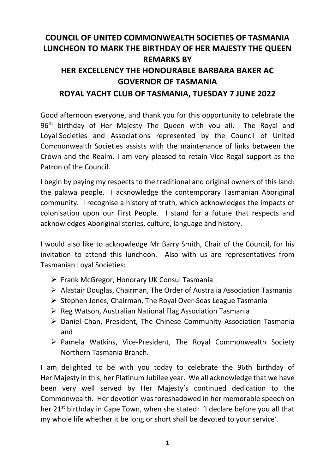## **COUNCIL OF UNITED COMMONWEALTH SOCIETIES OF TASMANIA LUNCHEON TO MARK THE BIRTHDAY OF HER MAJESTY THE QUEEN REMARKS BY HER EXCELLENCY THE HONOURABLE BARBARA BAKER AC GOVERNOR OF TASMANIA ROYAL YACHT CLUB OF TASMANIA, TUESDAY 7 JUNE 2022**

Good afternoon everyone, and thank you for this opportunity to celebrate the 96<sup>th</sup> birthday of Her Majesty The Queen with you all. The Royal and Loyal Societies and Associations represented by the Council of United Commonwealth Societies assists with the maintenance of links between the Crown and the Realm. I am very pleased to retain Vice-Regal support as the Patron of the Council.

I begin by paying my respects to the traditional and original owners of this land: the palawa people. I acknowledge the contemporary Tasmanian Aboriginal community. I recognise a history of truth, which acknowledges the impacts of colonisation upon our First People. I stand for a future that respects and acknowledges Aboriginal stories, culture, language and history.

I would also like to acknowledge Mr Barry Smith, Chair of the Council, for his invitation to attend this luncheon. Also with us are representatives from Tasmanian Loyal Societies:

- ➢ Frank McGregor, Honorary UK Consul Tasmania
- ➢ Alastair Douglas, Chairman, The Order of Australia Association Tasmania
- ➢ Stephen Jones, Chairman, The Royal Over-Seas League Tasmania
- ➢ Reg Watson, Australian National Flag Association Tasmania
- ➢ Daniel Chan, President, The Chinese Community Association Tasmania and
- ➢ Pamela Watkins, Vice-President, The Royal Commonwealth Society Northern Tasmania Branch.

I am delighted to be with you today to celebrate the 96th birthday of Her Majesty in this, her Platinum Jubilee year. We all acknowledge that we have been very well served by Her Majesty's continued dedication to the Commonwealth. Her devotion was foreshadowed in her memorable speech on her 21<sup>st</sup> birthday in Cape Town, when she stated: 'I declare before you all that my whole life whether it be long or short shall be devoted to your service'.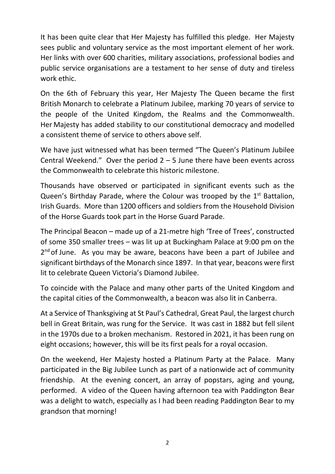It has been quite clear that Her Majesty has fulfilled this pledge. Her Majesty sees public and voluntary service as the most important element of her work. Her links with over 600 charities, military associations, professional bodies and public service organisations are a testament to her sense of duty and tireless work ethic.

On the 6th of February this year, Her Majesty The Queen became the first British Monarch to celebrate a Platinum Jubilee, marking 70 years of service to the people of the United Kingdom, the Realms and the Commonwealth. Her Majesty has added stability to our constitutional democracy and modelled a consistent theme of service to others above self.

We have just witnessed what has been termed "The Queen's Platinum Jubilee Central Weekend." Over the period  $2 - 5$  June there have been events across the Commonwealth to celebrate this historic milestone.

Thousands have observed or participated in significant events such as the Queen's Birthday Parade, where the Colour was trooped by the  $1<sup>st</sup>$  Battalion, Irish Guards. More than 1200 officers and soldiers from the Household Division of the Horse Guards took part in the Horse Guard Parade.

The Principal Beacon – made up of a 21-metre high 'Tree of Trees', constructed of some 350 smaller trees – was lit up at Buckingham Palace at 9:00 pm on the 2<sup>nd</sup> of June. As you may be aware, beacons have been a part of Jubilee and significant birthdays of the Monarch since 1897. In that year, beacons were first lit to celebrate Queen Victoria's Diamond Jubilee.

To coincide with the Palace and many other parts of the United Kingdom and the capital cities of the Commonwealth, a beacon was also lit in Canberra.

At a Service of Thanksgiving at St Paul's Cathedral, Great Paul, the largest church bell in Great Britain, was rung for the Service. It was cast in 1882 but fell silent in the 1970s due to a broken mechanism. Restored in 2021, it has been rung on eight occasions; however, this will be its first peals for a royal occasion.

On the weekend, Her Majesty hosted a Platinum Party at the Palace. Many participated in the Big Jubilee Lunch as part of a nationwide act of community friendship. At the evening concert, an array of popstars, aging and young, performed. A video of the Queen having afternoon tea with Paddington Bear was a delight to watch, especially as I had been reading Paddington Bear to my grandson that morning!